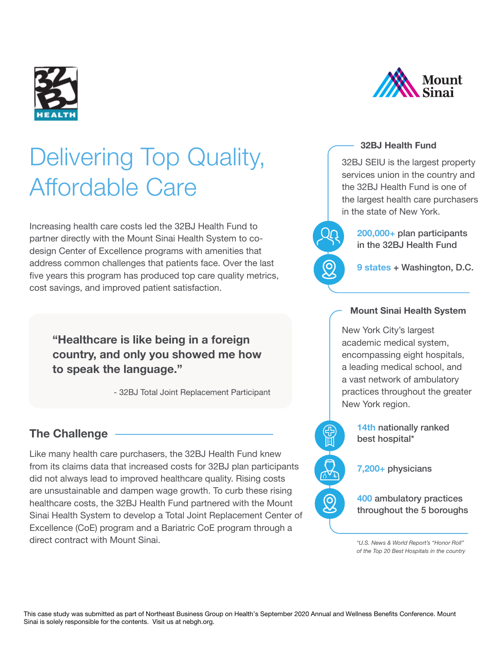

# Delivering Top Quality, Affordable Care

Increasing health care costs led the 32BJ Health Fund to partner directly with the Mount Sinai Health System to codesign Center of Excellence programs with amenities that address common challenges that patients face. Over the last five years this program has produced top care quality metrics, cost savings, and improved patient satisfaction.

**"Healthcare is like being in a foreign country, and only you showed me how to speak the language."**

- 32BJ Total Joint Replacement Participant

## **The Challenge**

Like many health care purchasers, the 32BJ Health Fund knew from its claims data that increased costs for 32BJ plan participants did not always lead to improved healthcare quality. Rising costs are unsustainable and dampen wage growth. To curb these rising healthcare costs, the 32BJ Health Fund partnered with the Mount Sinai Health System to develop a Total Joint Replacement Center of Excellence (CoE) program and a Bariatric CoE program through a direct contract with Mount Sinai.



#### **32BJ Health Fund**

32BJ SEIU is the largest property services union in the country and the 32BJ Health Fund is one of the largest health care purchasers in the state of New York.

> **200,000+** plan participants in the 32BJ Health Fund

**9 states** + Washington, D.C.

## **Mount Sinai Health System**

New York City's largest academic medical system, encompassing eight hospitals, a leading medical school, and a vast network of ambulatory practices throughout the greater New York region.

> **14th** nationally ranked best hospital\*

**7,200+** physicians

 $\Omega$ 

**400** ambulatory practices throughout the 5 boroughs

*\*U.S. News & World Report's "Honor Roll" of the Top 20 Best Hospitals in the country*